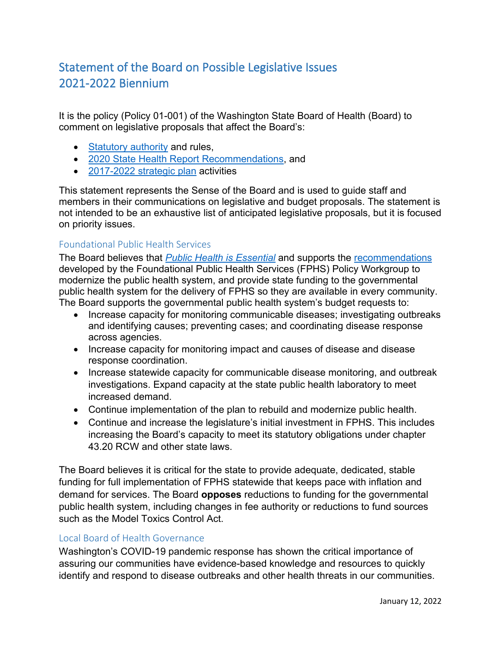# Statement of the Board on Possible Legislative Issues 2021-2022 Biennium

It is the policy (Policy 01-001) of the Washington State Board of Health (Board) to comment on legislative proposals that affect the Board's:

- [Statutory authority](http://sboh.wa.gov/Portals/7/Doc/Operations/Tab07b-PowersAndDuties_Table.pdf) and rules,
- [2020 State Health Report Recommendations,](https://sboh.wa.gov/Portals/7/Doc/Publications/2020-SHR-FinalApproved_rf.pdf) and
- 2017-2022 [strategic plan](https://sboh.wa.gov/OurPublications/StrategicPlan) activities

This statement represents the Sense of the Board and is used to guide staff and members in their communications on legislative and budget proposals. The statement is not intended to be an exhaustive list of anticipated legislative proposals, but it is focused on priority issues.

## Foundational Public Health Services

The Board believes that *[Public Health is Essential](http://publichealthisessential.org/)* and supports the [recommendations](http://www.doh.wa.gov/Portals/1/Documents/1200/FPHSp-Report2015.pdf) developed by the Foundational Public Health Services (FPHS) Policy Workgroup to modernize the public health system, and provide state funding to the governmental public health system for the delivery of FPHS so they are available in every community. The Board supports the governmental public health system's budget requests to:

- Increase capacity for monitoring communicable diseases; investigating outbreaks and identifying causes; preventing cases; and coordinating disease response across agencies.
- Increase capacity for monitoring impact and causes of disease and disease response coordination.
- Increase statewide capacity for communicable disease monitoring, and outbreak investigations. Expand capacity at the state public health laboratory to meet increased demand.
- Continue implementation of the plan to rebuild and modernize public health.
- Continue and increase the legislature's initial investment in FPHS. This includes increasing the Board's capacity to meet its statutory obligations under chapter 43.20 RCW and other state laws.

The Board believes it is critical for the state to provide adequate, dedicated, stable funding for full implementation of FPHS statewide that keeps pace with inflation and demand for services. The Board **opposes** reductions to funding for the governmental public health system, including changes in fee authority or reductions to fund sources such as the Model Toxics Control Act.

## Local Board of Health Governance

Washington's COVID-19 pandemic response has shown the critical importance of assuring our communities have evidence-based knowledge and resources to quickly identify and respond to disease outbreaks and other health threats in our communities.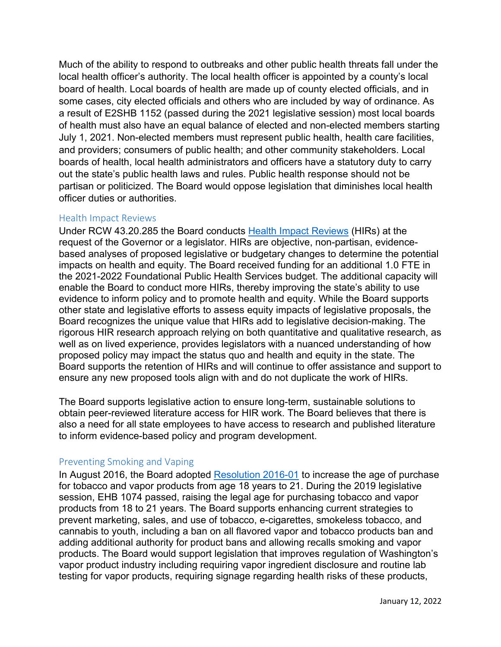Much of the ability to respond to outbreaks and other public health threats fall under the local health officer's authority. The local health officer is appointed by a county's local board of health. Local boards of health are made up of county elected officials, and in some cases, city elected officials and others who are included by way of ordinance. As a result of E2SHB 1152 (passed during the 2021 legislative session) most local boards of health must also have an equal balance of elected and non-elected members starting July 1, 2021. Non-elected members must represent public health, health care facilities, and providers; consumers of public health; and other community stakeholders. Local boards of health, local health administrators and officers have a statutory duty to carry out the state's public health laws and rules. Public health response should not be partisan or politicized. The Board would oppose legislation that diminishes local health officer duties or authorities.

#### Health Impact Reviews

Under RCW 43.20.285 the Board conducts [Health Impact Reviews](http://sboh.wa.gov/OurWork/HealthImpactReviews) (HIRs) at the request of the Governor or a legislator. HIRs are objective, non-partisan, evidencebased analyses of proposed legislative or budgetary changes to determine the potential impacts on health and equity. The Board received funding for an additional 1.0 FTE in the 2021-2022 Foundational Public Health Services budget. The additional capacity will enable the Board to conduct more HIRs, thereby improving the state's ability to use evidence to inform policy and to promote health and equity. While the Board supports other state and legislative efforts to assess equity impacts of legislative proposals, the Board recognizes the unique value that HIRs add to legislative decision-making. The rigorous HIR research approach relying on both quantitative and qualitative research, as well as on lived experience, provides legislators with a nuanced understanding of how proposed policy may impact the status quo and health and equity in the state. The Board supports the retention of HIRs and will continue to offer assistance and support to ensure any new proposed tools align with and do not duplicate the work of HIRs.

The Board supports legislative action to ensure long-term, sustainable solutions to obtain peer-reviewed literature access for HIR work. The Board believes that there is also a need for all state employees to have access to research and published literature to inform evidence-based policy and program development.

#### Preventing Smoking and Vaping

In August 2016, the Board adopted [Resolution 2016-01](http://sboh.wa.gov/Portals/7/Doc/Resolutions/Resolution-2016-01_Tobacco%2021.pdf) to increase the age of purchase for tobacco and vapor products from age 18 years to 21. During the 2019 legislative session, EHB 1074 passed, raising the legal age for purchasing tobacco and vapor products from 18 to 21 years. The Board supports enhancing current strategies to prevent marketing, sales, and use of tobacco, e-cigarettes, smokeless tobacco, and cannabis to youth, including a ban on all flavored vapor and tobacco products ban and adding additional authority for product bans and allowing recalls smoking and vapor products. The Board would support legislation that improves regulation of Washington's vapor product industry including requiring vapor ingredient disclosure and routine lab testing for vapor products, requiring signage regarding health risks of these products,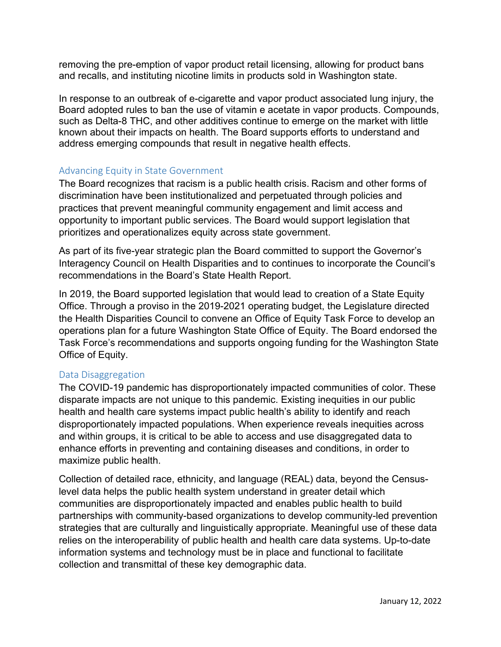removing the pre-emption of vapor product retail licensing, allowing for product bans and recalls, and instituting nicotine limits in products sold in Washington state.

In response to an outbreak of e-cigarette and vapor product associated lung injury, the Board adopted rules to ban the use of vitamin e acetate in vapor products. Compounds, such as Delta-8 THC, and other additives continue to emerge on the market with little known about their impacts on health. The Board supports efforts to understand and address emerging compounds that result in negative health effects.

## Advancing Equity in State Government

The Board recognizes that racism is a public health crisis. Racism and other forms of discrimination have been institutionalized and perpetuated through policies and practices that prevent meaningful community engagement and limit access and opportunity to important public services. The Board would support legislation that prioritizes and operationalizes equity across state government.

As part of its five-year strategic plan the Board committed to support the Governor's Interagency Council on Health Disparities and to continues to incorporate the Council's recommendations in the Board's State Health Report.

In 2019, the Board supported legislation that would lead to creation of a State Equity Office. Through a proviso in the 2019-2021 operating budget, the Legislature directed the Health Disparities Council to convene an Office of Equity Task Force to develop an operations plan for a future Washington State Office of Equity. The Board endorsed the Task Force's recommendations and supports ongoing funding for the Washington State Office of Equity.

## Data Disaggregation

The COVID-19 pandemic has disproportionately impacted communities of color. These disparate impacts are not unique to this pandemic. Existing inequities in our public health and health care systems impact public health's ability to identify and reach disproportionately impacted populations. When experience reveals inequities across and within groups, it is critical to be able to access and use disaggregated data to enhance efforts in preventing and containing diseases and conditions, in order to maximize public health.

Collection of detailed race, ethnicity, and language (REAL) data, beyond the Censuslevel data helps the public health system understand in greater detail which communities are disproportionately impacted and enables public health to build partnerships with community-based organizations to develop community-led prevention strategies that are culturally and linguistically appropriate. Meaningful use of these data relies on the interoperability of public health and health care data systems. Up-to-date information systems and technology must be in place and functional to facilitate collection and transmittal of these key demographic data.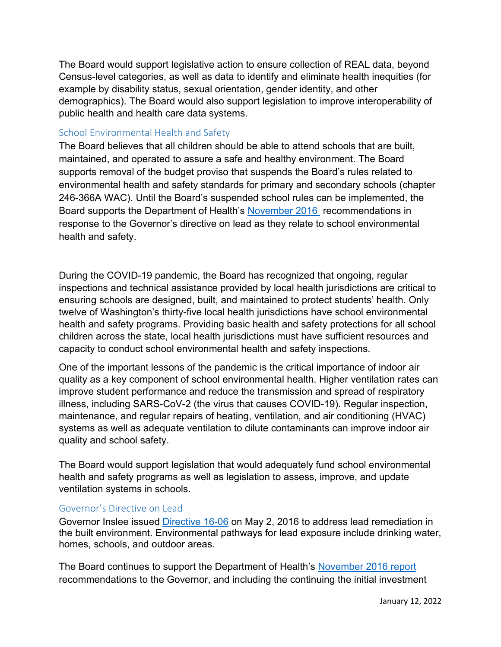The Board would support legislative action to ensure collection of REAL data, beyond Census-level categories, as well as data to identify and eliminate health inequities (for example by disability status, sexual orientation, gender identity, and other demographics). The Board would also support legislation to improve interoperability of public health and health care data systems.

## School Environmental Health and Safety

The Board believes that all children should be able to attend schools that are built, maintained, and operated to assure a safe and healthy environment. The Board supports removal of the budget proviso that suspends the Board's rules related to environmental health and safety standards for primary and secondary schools (chapter 246-366A WAC). Until the Board's suspended school rules can be implemented, the Board supports the Department of Health's [November 2016](http://www.doh.wa.gov/Portals/1/Documents/Pubs/300-018.pdf) recommendations in response to the Governor's directive on lead as they relate to school environmental health and safety.

During the COVID-19 pandemic, the Board has recognized that ongoing, regular inspections and technical assistance provided by local health jurisdictions are critical to ensuring schools are designed, built, and maintained to protect students' health. Only twelve of Washington's thirty-five local health jurisdictions have school environmental health and safety programs. Providing basic health and safety protections for all school children across the state, local health jurisdictions must have sufficient resources and capacity to conduct school environmental health and safety inspections.

One of the important lessons of the pandemic is the critical importance of indoor air quality as a key component of school environmental health. Higher ventilation rates can improve student performance and reduce the transmission and spread of respiratory illness, including SARS-CoV-2 (the virus that causes COVID-19). Regular inspection, maintenance, and regular repairs of heating, ventilation, and air conditioning (HVAC) systems as well as adequate ventilation to dilute contaminants can improve indoor air quality and school safety.

The Board would support legislation that would adequately fund school environmental health and safety programs as well as legislation to assess, improve, and update ventilation systems in schools.

## Governor's Directive on Lead

Governor Inslee issued [Directive 16-06](http://www.governor.wa.gov/sites/default/files/directive/dir_16-06.pdf) on May 2, 2016 to address lead remediation in the built environment. Environmental pathways for lead exposure include drinking water, homes, schools, and outdoor areas.

The Board continues to support the Department of Health's [November 2016 report](http://www.doh.wa.gov/Portals/1/Documents/Pubs/300-018.pdf) recommendations to the Governor, and including the continuing the initial investment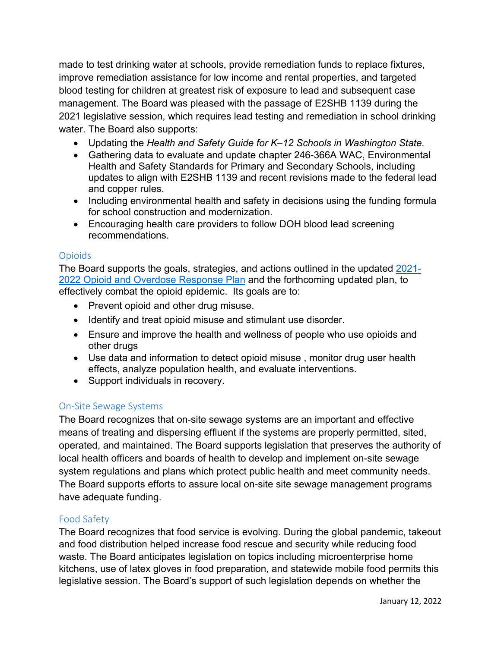made to test drinking water at schools, provide remediation funds to replace fixtures, improve remediation assistance for low income and rental properties, and targeted blood testing for children at greatest risk of exposure to lead and subsequent case management. The Board was pleased with the passage of E2SHB 1139 during the 2021 legislative session, which requires lead testing and remediation in school drinking water. The Board also supports:

- Updating the *Health and Safety Guide for K–12 Schools in Washington State.*
- Gathering data to evaluate and update chapter 246-366A WAC, Environmental Health and Safety Standards for Primary and Secondary Schools, including updates to align with E2SHB 1139 and recent revisions made to the federal lead and copper rules.
- Including environmental health and safety in decisions using the funding formula for school construction and modernization.
- Encouraging health care providers to follow DOH blood lead screening recommendations.

# Opioids

The Board supports the goals, strategies, and actions outlined in the updated [2021-](https://www.hca.wa.gov/assets/program/WashingtonStateOpioidandOverdoseResponsePlan-final-2021.pdf) [2022 Opioid and Overdose Response Plan](https://www.hca.wa.gov/assets/program/WashingtonStateOpioidandOverdoseResponsePlan-final-2021.pdf) and the forthcoming updated plan, to effectively combat the opioid epidemic. Its goals are to:

- Prevent opioid and other drug misuse.
- Identify and treat opioid misuse and stimulant use disorder.
- Ensure and improve the health and wellness of people who use opioids and other drugs
- Use data and information to detect opioid misuse , monitor drug user health effects, analyze population health, and evaluate interventions.
- Support individuals in recovery.

# On-Site Sewage Systems

The Board recognizes that on-site sewage systems are an important and effective means of treating and dispersing effluent if the systems are properly permitted, sited, operated, and maintained. The Board supports legislation that preserves the authority of local health officers and boards of health to develop and implement on-site sewage system regulations and plans which protect public health and meet community needs. The Board supports efforts to assure local on-site site sewage management programs have adequate funding.

# Food Safety

The Board recognizes that food service is evolving. During the global pandemic, takeout and food distribution helped increase food rescue and security while reducing food waste. The Board anticipates legislation on topics including microenterprise home kitchens, use of latex gloves in food preparation, and statewide mobile food permits this legislative session. The Board's support of such legislation depends on whether the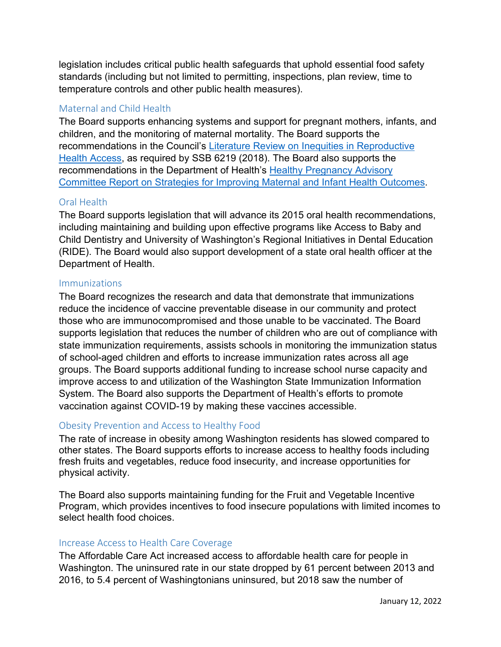legislation includes critical public health safeguards that uphold essential food safety standards (including but not limited to permitting, inspections, plan review, time to temperature controls and other public health measures).

## Maternal and Child Health

The Board supports enhancing systems and support for pregnant mothers, infants, and children, and the monitoring of maternal mortality. The Board supports the recommendations in the Council's [Literature Review on Inequities in Reproductive](https://healthequity.wa.gov/Portals/9/Doc/Publications/Reports/LiteratureReviewReproductiveHealthAccess_SSB6219_FINAL_1.1.2019...pdf)  [Health Access,](https://healthequity.wa.gov/Portals/9/Doc/Publications/Reports/LiteratureReviewReproductiveHealthAccess_SSB6219_FINAL_1.1.2019...pdf) as required by SSB 6219 (2018). The Board also supports the recommendations in the Department of Health's [Healthy Pregnancy Advisory](https://www.doh.wa.gov/Portals/1/Documents/Pubs/350-028-HealthyPregnancyOutcomes.pdf)  [Committee Report on Strategies for Improving Maternal and Infant Health Outcomes.](https://www.doh.wa.gov/Portals/1/Documents/Pubs/350-028-HealthyPregnancyOutcomes.pdf)

## Oral Health

The Board supports legislation that will advance its 2015 oral health recommendations, including maintaining and building upon effective programs like Access to Baby and Child Dentistry and University of Washington's Regional Initiatives in Dental Education (RIDE). The Board would also support development of a state oral health officer at the Department of Health.

#### Immunizations

The Board recognizes the research and data that demonstrate that immunizations reduce the incidence of vaccine preventable disease in our community and protect those who are immunocompromised and those unable to be vaccinated. The Board supports legislation that reduces the number of children who are out of compliance with state immunization requirements, assists schools in monitoring the immunization status of school-aged children and efforts to increase immunization rates across all age groups. The Board supports additional funding to increase school nurse capacity and improve access to and utilization of the Washington State Immunization Information System. The Board also supports the Department of Health's efforts to promote vaccination against COVID-19 by making these vaccines accessible.

## Obesity Prevention and Access to Healthy Food

The rate of increase in obesity among Washington residents has slowed compared to other states. The Board supports efforts to increase access to healthy foods including fresh fruits and vegetables, reduce food insecurity, and increase opportunities for physical activity.

The Board also supports maintaining funding for the Fruit and Vegetable Incentive Program, which provides incentives to food insecure populations with limited incomes to select health food choices.

## Increase Access to Health Care Coverage

The Affordable Care Act increased access to affordable health care for people in Washington. The uninsured rate in our state dropped by 61 percent between 2013 and 2016, to 5.4 percent of Washingtonians uninsured, but 2018 saw the number of